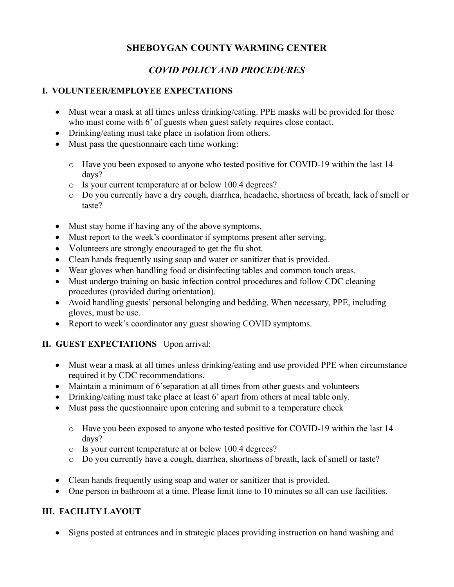# **SHEBOYGAN COUNTY WARMING CENTER**

## *COVID POLICY AND PROCEDURES*

#### **I. VOLUNTEER/EMPLOYEE EXPECTATIONS**

- Must wear a mask at all times unless drinking/eating. PPE masks will be provided for those who must come with 6' of guests when guest safety requires close contact.
- Drinking/eating must take place in isolation from others.
- Must pass the questionnaire each time working:
	- o Have you been exposed to anyone who tested positive for COVID-19 within the last 14 days?
	- o Is your current temperature at or below 100.4 degrees?
	- o Do you currently have a dry cough, diarrhea, headache, shortness of breath, lack of smell or taste?
- Must stay home if having any of the above symptoms.
- Must report to the week's coordinator if symptoms present after serving.
- Volunteers are strongly encouraged to get the flu shot.
- Clean hands frequently using soap and water or sanitizer that is provided.
- Wear gloves when handling food or disinfecting tables and common touch areas.
- Must undergo training on basic infection control procedures and follow CDC cleaning procedures (provided during orientation).
- Avoid handling guests' personal belonging and bedding. When necessary, PPE, including gloves, must be use.
- Report to week's coordinator any guest showing COVID symptoms.

## **II. GUEST EXPECTATIONS** Upon arrival:

- Must wear a mask at all times unless drinking/eating and use provided PPE when circumstance required it by CDC recommendations.
- Maintain a minimum of 6'separation at all times from other guests and volunteers
- Drinking/eating must take place at least 6' apart from others at meal table only.
- Must pass the questionnaire upon entering and submit to a temperature check
	- o Have you been exposed to anyone who tested positive for COVID-19 within the last 14 days?
	- o Is your current temperature at or below 100.4 degrees?
	- o Do you currently have a cough, diarrhea, shortness of breath, lack of smell or taste?
- Clean hands frequently using soap and water or sanitizer that is provided.
- One person in bathroom at a time. Please limit time to 10 minutes so all can use facilities.

## **III. FACILITY LAYOUT**

• Signs posted at entrances and in strategic places providing instruction on hand washing and